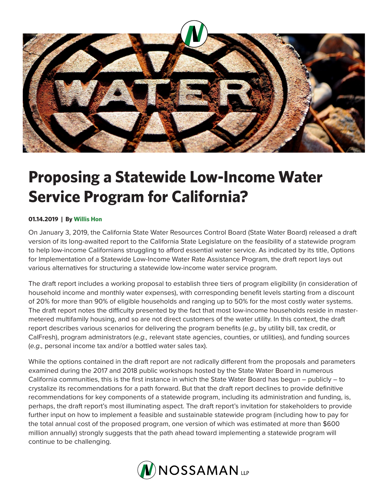

## **Proposing a Statewide Low-Income Water Service Program for California?**

## **01.14.2019 | By Willis Hon**

On January 3, 2019, the California State Water Resources Control Board (State Water Board) released a draft version of its long-awaited report to the California State Legislature on the feasibility of a statewide program to help low-income Californians struggling to afford essential water service. As indicated by its title, Options for Implementation of a Statewide Low-Income Water Rate Assistance Program, the draft report lays out various alternatives for structuring a statewide low-income water service program.

The draft report includes a working proposal to establish three tiers of program eligibility (in consideration of household income and monthly water expenses), with corresponding benefit levels starting from a discount of 20% for more than 90% of eligible households and ranging up to 50% for the most costly water systems. The draft report notes the difficulty presented by the fact that most low-income households reside in mastermetered multifamily housing, and so are not direct customers of the water utility. In this context, the draft report describes various scenarios for delivering the program benefits (*e.g.,* by utility bill, tax credit, or CalFresh), program administrators (*e.g.,* relevant state agencies, counties, or utilities), and funding sources (*e.g.,* personal income tax and/or a bottled water sales tax).

While the options contained in the draft report are not radically different from the proposals and parameters examined during the 2017 and 2018 public workshops hosted by the State Water Board in numerous California communities, this is the first instance in which the State Water Board has begun – publicly – to crystalize its recommendations for a path forward. But that the draft report declines to provide definitive recommendations for key components of a statewide program, including its administration and funding, is, perhaps, the draft report's most illuminating aspect. The draft report's invitation for stakeholders to provide further input on how to implement a feasible and sustainable statewide program (including how to pay for the total annual cost of the proposed program, one version of which was estimated at more than \$600 million annually) strongly suggests that the path ahead toward implementing a statewide program will continue to be challenging.